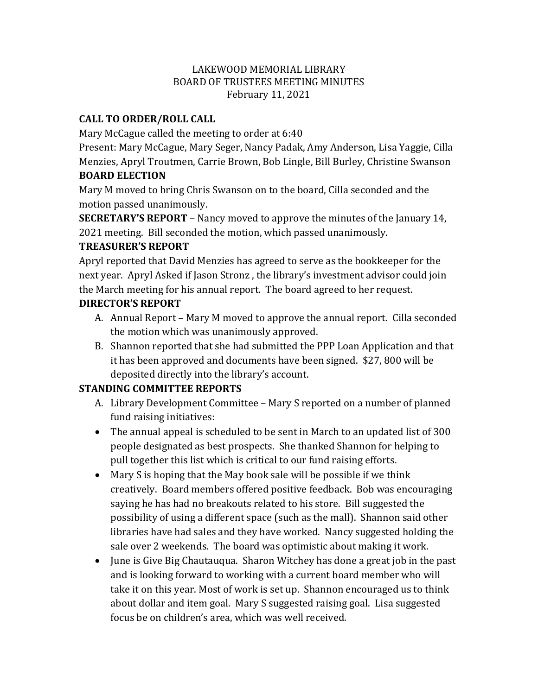#### LAKEWOOD MEMORIAL LIBRARY BOARD OF TRUSTEES MEETING MINUTES February 11, 2021

# **CALL TO ORDER/ROLL CALL**

Mary McCague called the meeting to order at 6:40

Present: Mary McCague, Mary Seger, Nancy Padak, Amy Anderson, Lisa Yaggie, Cilla Menzies, Apryl Troutmen, Carrie Brown, Bob Lingle, Bill Burley, Christine Swanson **BOARD ELECTION**

Mary M moved to bring Chris Swanson on to the board, Cilla seconded and the motion passed unanimously.

**SECRETARY'S REPORT** – Nancy moved to approve the minutes of the January 14, 2021 meeting. Bill seconded the motion, which passed unanimously.

## **TREASURER'S REPORT**

Apryl reported that David Menzies has agreed to serve as the bookkeeper for the next year. Apryl Asked if Jason Stronz , the library's investment advisor could join the March meeting for his annual report. The board agreed to her request.

## **DIRECTOR'S REPORT**

- A. Annual Report Mary M moved to approve the annual report. Cilla seconded the motion which was unanimously approved.
- B. Shannon reported that she had submitted the PPP Loan Application and that it has been approved and documents have been signed. \$27, 800 will be deposited directly into the library's account.

# **STANDING COMMITTEE REPORTS**

- A. Library Development Committee Mary S reported on a number of planned fund raising initiatives:
- The annual appeal is scheduled to be sent in March to an updated list of 300 people designated as best prospects. She thanked Shannon for helping to pull together this list which is critical to our fund raising efforts.
- Mary S is hoping that the May book sale will be possible if we think creatively. Board members offered positive feedback. Bob was encouraging saying he has had no breakouts related to his store. Bill suggested the possibility of using a different space (such as the mall). Shannon said other libraries have had sales and they have worked. Nancy suggested holding the sale over 2 weekends. The board was optimistic about making it work.
- June is Give Big Chautauqua. Sharon Witchey has done a great job in the past and is looking forward to working with a current board member who will take it on this year. Most of work is set up. Shannon encouraged us to think about dollar and item goal. Mary S suggested raising goal. Lisa suggested focus be on children's area, which was well received.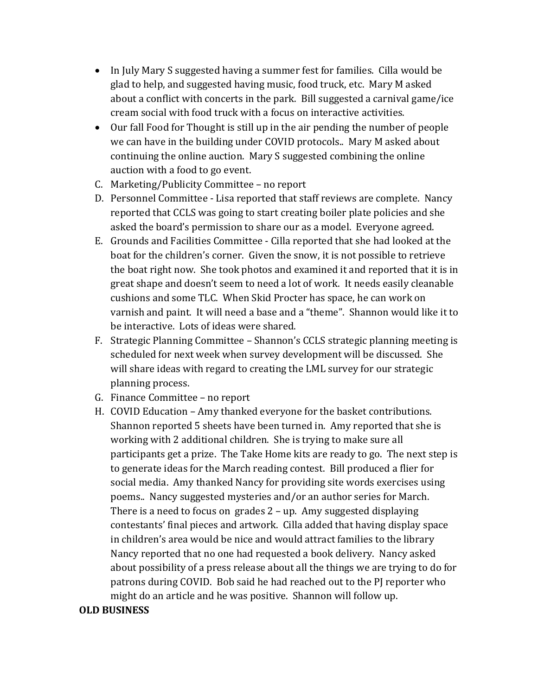- In July Mary S suggested having a summer fest for families. Cilla would be glad to help, and suggested having music, food truck, etc. Mary M asked about a conflict with concerts in the park. Bill suggested a carnival game/ice cream social with food truck with a focus on interactive activities.
- Our fall Food for Thought is still up in the air pending the number of people we can have in the building under COVID protocols.. Mary M asked about continuing the online auction. Mary S suggested combining the online auction with a food to go event.
- C. Marketing/Publicity Committee no report
- D. Personnel Committee Lisa reported that staff reviews are complete. Nancy reported that CCLS was going to start creating boiler plate policies and she asked the board's permission to share our as a model. Everyone agreed.
- E. Grounds and Facilities Committee Cilla reported that she had looked at the boat for the children's corner. Given the snow, it is not possible to retrieve the boat right now. She took photos and examined it and reported that it is in great shape and doesn't seem to need a lot of work. It needs easily cleanable cushions and some TLC. When Skid Procter has space, he can work on varnish and paint. It will need a base and a "theme". Shannon would like it to be interactive. Lots of ideas were shared.
- F. Strategic Planning Committee Shannon's CCLS strategic planning meeting is scheduled for next week when survey development will be discussed. She will share ideas with regard to creating the LML survey for our strategic planning process.
- G. Finance Committee no report
- H. COVID Education Amy thanked everyone for the basket contributions. Shannon reported 5 sheets have been turned in. Amy reported that she is working with 2 additional children. She is trying to make sure all participants get a prize. The Take Home kits are ready to go. The next step is to generate ideas for the March reading contest. Bill produced a flier for social media. Amy thanked Nancy for providing site words exercises using poems.. Nancy suggested mysteries and/or an author series for March. There is a need to focus on grades 2 – up. Amy suggested displaying contestants' final pieces and artwork. Cilla added that having display space in children's area would be nice and would attract families to the library Nancy reported that no one had requested a book delivery. Nancy asked about possibility of a press release about all the things we are trying to do for patrons during COVID. Bob said he had reached out to the PJ reporter who might do an article and he was positive. Shannon will follow up.

#### **OLD BUSINESS**